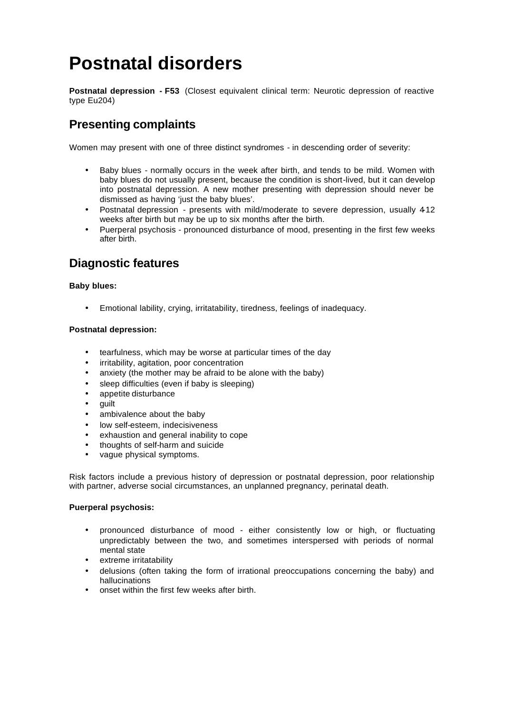# **Postnatal disorders**

**Postnatal depression - F53** (Closest equivalent clinical term: Neurotic depression of reactive type Eu204)

# **Presenting complaints**

Women may present with one of three distinct syndromes - in descending order of severity:

- Baby blues normally occurs in the week after birth, and tends to be mild. Women with baby blues do not usually present, because the condition is short-lived, but it can develop into postnatal depression. A new mother presenting with depression should never be dismissed as having 'just the baby blues'.
- Postnatal depression presents with mild/moderate to severe depression, usually 4-12 weeks after birth but may be up to six months after the birth.
- Puerperal psychosis pronounced disturbance of mood, presenting in the first few weeks after birth.

# **Diagnostic features**

#### **Baby blues:**

• Emotional lability, crying, irritatability, tiredness, feelings of inadequacy.

#### **Postnatal depression:**

- tearfulness, which may be worse at particular times of the day
- irritability, agitation, poor concentration
- anxiety (the mother may be afraid to be alone with the baby)
- sleep difficulties (even if baby is sleeping)
- appetite disturbance
- guilt
- ambivalence about the baby
- low self-esteem, indecisiveness
- exhaustion and general inability to cope
- thoughts of self-harm and suicide
- vague physical symptoms.

Risk factors include a previous history of depression or postnatal depression, poor relationship with partner, adverse social circumstances, an unplanned pregnancy, perinatal death.

#### **Puerperal psychosis:**

- pronounced disturbance of mood either consistently low or high, or fluctuating unpredictably between the two, and sometimes interspersed with periods of normal mental state
- extreme irritatability
- delusions (often taking the form of irrational preoccupations concerning the baby) and hallucinations
- onset within the first few weeks after birth.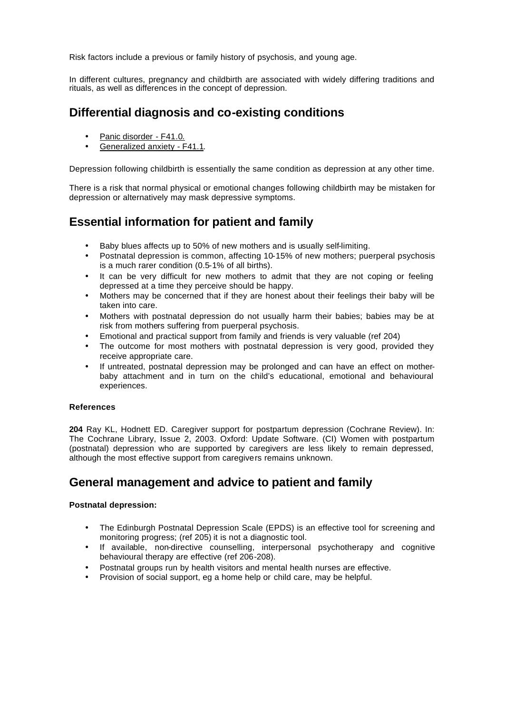Risk factors include a previous or family history of psychosis, and young age.

In different cultures, pregnancy and childbirth are associated with widely differing traditions and rituals, as well as differences in the concept of depression.

## **Differential diagnosis and co-existing conditions**

- Panic disorder F41.0.
- Generalized anxiety F41.1.

Depression following childbirth is essentially the same condition as depression at any other time.

There is a risk that normal physical or emotional changes following childbirth may be mistaken for depression or alternatively may mask depressive symptoms.

### **Essential information for patient and family**

- Baby blues affects up to 50% of new mothers and is usually self-limiting.
- Postnatal depression is common, affecting 10-15% of new mothers; puerperal psychosis is a much rarer condition (0.5-1% of all births).
- It can be very difficult for new mothers to admit that they are not coping or feeling depressed at a time they perceive should be happy.
- Mothers may be concerned that if they are honest about their feelings their baby will be taken into care.
- Mothers with postnatal depression do not usually harm their babies; babies may be at risk from mothers suffering from puerperal psychosis.
- Emotional and practical support from family and friends is very valuable (ref 204)
- The outcome for most mothers with postnatal depression is very good, provided they receive appropriate care.
- If untreated, postnatal depression may be prolonged and can have an effect on motherbaby attachment and in turn on the child's educational, emotional and behavioural experiences.

#### **References**

**204** Ray KL, Hodnett ED. Caregiver support for postpartum depression (Cochrane Review). In: The Cochrane Library, Issue 2, 2003. Oxford: Update Software. (CI) Women with postpartum (postnatal) depression who are supported by caregivers are less likely to remain depressed, although the most effective support from caregivers remains unknown.

### **General management and advice to patient and family**

#### **Postnatal depression:**

- The Edinburgh Postnatal Depression Scale (EPDS) is an effective tool for screening and monitoring progress; (ref 205) it is not a diagnostic tool.
- If available, non-directive counselling, interpersonal psychotherapy and cognitive behavioural therapy are effective (ref 206-208).
- Postnatal groups run by health visitors and mental health nurses are effective.
- Provision of social support, eg a home help or child care, may be helpful.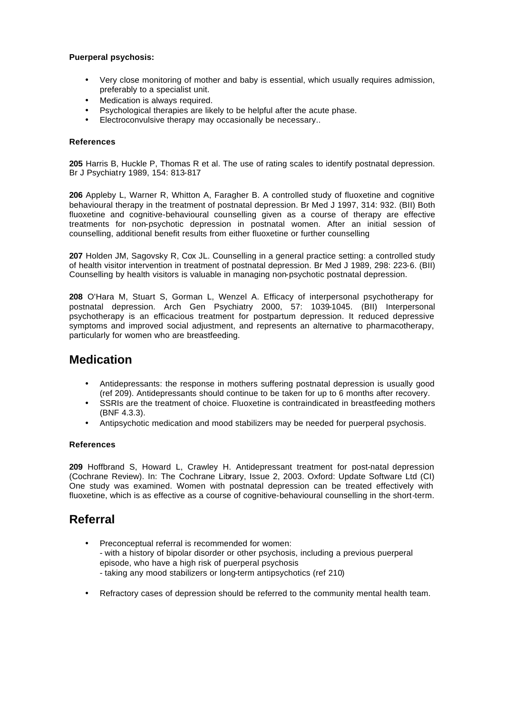#### **Puerperal psychosis:**

- Very close monitoring of mother and baby is essential, which usually requires admission, preferably to a specialist unit.
- Medication is always required.
- Psychological therapies are likely to be helpful after the acute phase.
- Electroconvulsive therapy may occasionally be necessary..

#### **References**

**205** Harris B, Huckle P, Thomas R et al. The use of rating scales to identify postnatal depression. Br J Psychiatry 1989, 154: 813-817

**206** Appleby L, Warner R, Whitton A, Faragher B. A controlled study of fluoxetine and cognitive behavioural therapy in the treatment of postnatal depression. Br Med J 1997, 314: 932. (BII) Both fluoxetine and cognitive-behavioural counselling given as a course of therapy are effective treatments for non-psychotic depression in postnatal women. After an initial session of counselling, additional benefit results from either fluoxetine or further counselling

**207** Holden JM, Sagovsky R, Cox JL. Counselling in a general practice setting: a controlled study of health visitor intervention in treatment of postnatal depression. Br Med J 1989, 298: 223-6. (BII) Counselling by health visitors is valuable in managing non-psychotic postnatal depression.

**208** O'Hara M, Stuart S, Gorman L, Wenzel A. Efficacy of interpersonal psychotherapy for postnatal depression. Arch Gen Psychiatry 2000, 57: 1039-1045. (BII) Interpersonal psychotherapy is an efficacious treatment for postpartum depression. It reduced depressive symptoms and improved social adjustment, and represents an alternative to pharmacotherapy, particularly for women who are breastfeeding.

### **Medication**

- Antidepressants: the response in mothers suffering postnatal depression is usually good (ref 209). Antidepressants should continue to be taken for up to 6 months after recovery.
- SSRIs are the treatment of choice. Fluoxetine is contraindicated in breastfeeding mothers (BNF 4.3.3).
- Antipsychotic medication and mood stabilizers may be needed for puerperal psychosis.

#### **References**

**209** Hoffbrand S, Howard L, Crawley H. Antidepressant treatment for post-natal depression (Cochrane Review). In: The Cochrane Library, Issue 2, 2003. Oxford: Update Software Ltd (CI) One study was examined. Women with postnatal depression can be treated effectively with fluoxetine, which is as effective as a course of cognitive-behavioural counselling in the short-term.

### **Referral**

- Preconceptual referral is recommended for women: - with a history of bipolar disorder or other psychosis, including a previous puerperal episode, who have a high risk of puerperal psychosis - taking any mood stabilizers or long-term antipsychotics (ref 210)
- Refractory cases of depression should be referred to the community mental health team.